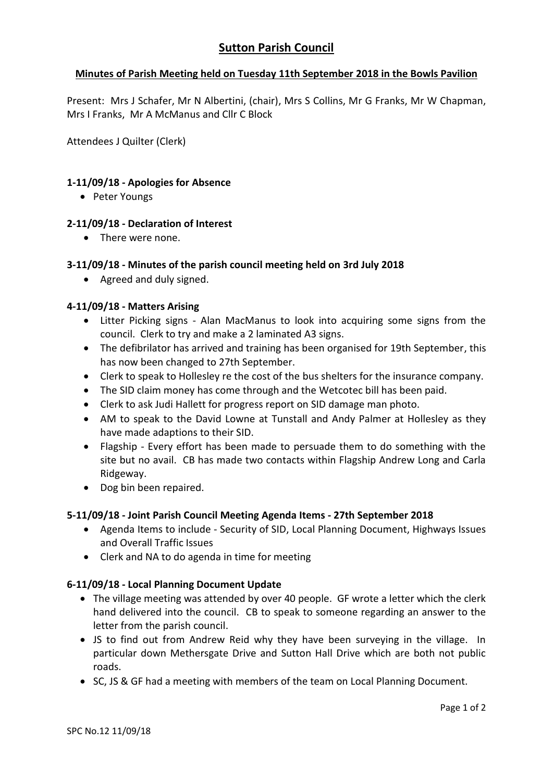# **Minutes of Parish Meeting held on Tuesday 11th September 2018 in the Bowls Pavilion**

Present: Mrs J Schafer, Mr N Albertini, (chair), Mrs S Collins, Mr G Franks, Mr W Chapman, Mrs I Franks, Mr A McManus and Cllr C Block

Attendees J Quilter (Clerk)

## **1-11/09/18 - Apologies for Absence**

• Peter Youngs

## **2-11/09/18 - Declaration of Interest**

• There were none.

## **3-11/09/18 - Minutes of the parish council meeting held on 3rd July 2018**

• Agreed and duly signed.

## **4-11/09/18 - Matters Arising**

- Litter Picking signs Alan MacManus to look into acquiring some signs from the council. Clerk to try and make a 2 laminated A3 signs.
- The defibrilator has arrived and training has been organised for 19th September, this has now been changed to 27th September.
- Clerk to speak to Hollesley re the cost of the bus shelters for the insurance company.
- The SID claim money has come through and the Wetcotec bill has been paid.
- Clerk to ask Judi Hallett for progress report on SID damage man photo.
- AM to speak to the David Lowne at Tunstall and Andy Palmer at Hollesley as they have made adaptions to their SID.
- Flagship Every effort has been made to persuade them to do something with the site but no avail. CB has made two contacts within Flagship Andrew Long and Carla Ridgeway.
- Dog bin been repaired.

### **5-11/09/18 - Joint Parish Council Meeting Agenda Items - 27th September 2018**

- Agenda Items to include Security of SID, Local Planning Document, Highways Issues and Overall Traffic Issues
- Clerk and NA to do agenda in time for meeting

### **6-11/09/18 - Local Planning Document Update**

- The village meeting was attended by over 40 people. GF wrote a letter which the clerk hand delivered into the council. CB to speak to someone regarding an answer to the letter from the parish council.
- JS to find out from Andrew Reid why they have been surveying in the village. In particular down Methersgate Drive and Sutton Hall Drive which are both not public roads.
- SC, JS & GF had a meeting with members of the team on Local Planning Document.